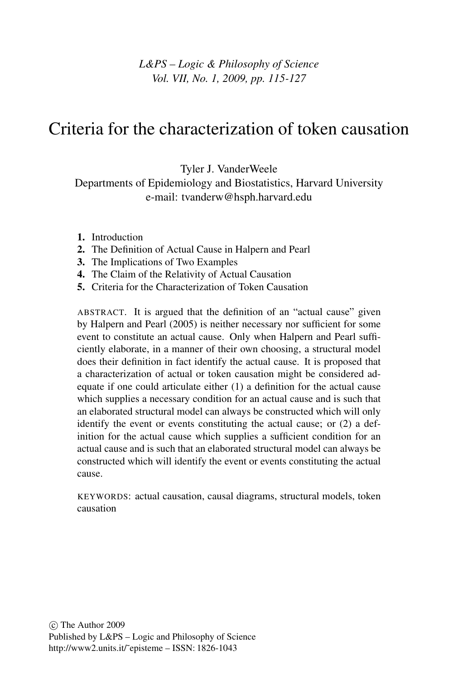## *L&PS – Logic & Philosophy of Science Vol. VII, No. 1, 2009, pp. 115-127*

# Criteria for the characterization of token causation

Tyler J. VanderWeele

Departments of Epidemiology and Biostatistics, Harvard University e-mail: tvanderw@hsph.harvard.edu

- 1. Introduction
- 2. The Definition of Actual Cause in Halpern and Pearl
- 3. The Implications of Two Examples
- 4. The Claim of the Relativity of Actual Causation
- 5. Criteria for the Characterization of Token Causation

ABSTRACT. It is argued that the definition of an "actual cause" given by Halpern and Pearl (2005) is neither necessary nor sufficient for some event to constitute an actual cause. Only when Halpern and Pearl sufficiently elaborate, in a manner of their own choosing, a structural model does their definition in fact identify the actual cause. It is proposed that a characterization of actual or token causation might be considered adequate if one could articulate either (1) a definition for the actual cause which supplies a necessary condition for an actual cause and is such that an elaborated structural model can always be constructed which will only identify the event or events constituting the actual cause; or (2) a definition for the actual cause which supplies a sufficient condition for an actual cause and is such that an elaborated structural model can always be constructed which will identify the event or events constituting the actual cause.

KEYWORDS: actual causation, causal diagrams, structural models, token causation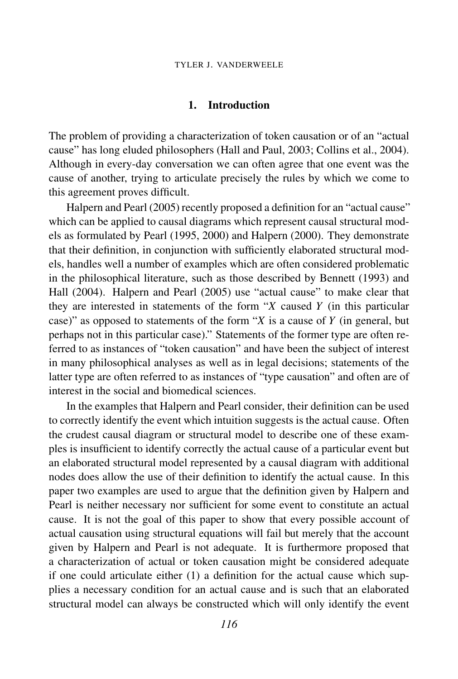### 1. Introduction

The problem of providing a characterization of token causation or of an "actual cause" has long eluded philosophers (Hall and Paul, 2003; Collins et al., 2004). Although in every-day conversation we can often agree that one event was the cause of another, trying to articulate precisely the rules by which we come to this agreement proves difficult.

Halpern and Pearl (2005) recently proposed a definition for an "actual cause" which can be applied to causal diagrams which represent causal structural models as formulated by Pearl (1995, 2000) and Halpern (2000). They demonstrate that their definition, in conjunction with sufficiently elaborated structural models, handles well a number of examples which are often considered problematic in the philosophical literature, such as those described by Bennett (1993) and Hall (2004). Halpern and Pearl (2005) use "actual cause" to make clear that they are interested in statements of the form "*X* caused *Y* (in this particular case)" as opposed to statements of the form "*X* is a cause of *Y* (in general, but perhaps not in this particular case)." Statements of the former type are often referred to as instances of "token causation" and have been the subject of interest in many philosophical analyses as well as in legal decisions; statements of the latter type are often referred to as instances of "type causation" and often are of interest in the social and biomedical sciences.

In the examples that Halpern and Pearl consider, their definition can be used to correctly identify the event which intuition suggests is the actual cause. Often the crudest causal diagram or structural model to describe one of these examples is insufficient to identify correctly the actual cause of a particular event but an elaborated structural model represented by a causal diagram with additional nodes does allow the use of their definition to identify the actual cause. In this paper two examples are used to argue that the definition given by Halpern and Pearl is neither necessary nor sufficient for some event to constitute an actual cause. It is not the goal of this paper to show that every possible account of actual causation using structural equations will fail but merely that the account given by Halpern and Pearl is not adequate. It is furthermore proposed that a characterization of actual or token causation might be considered adequate if one could articulate either (1) a definition for the actual cause which supplies a necessary condition for an actual cause and is such that an elaborated structural model can always be constructed which will only identify the event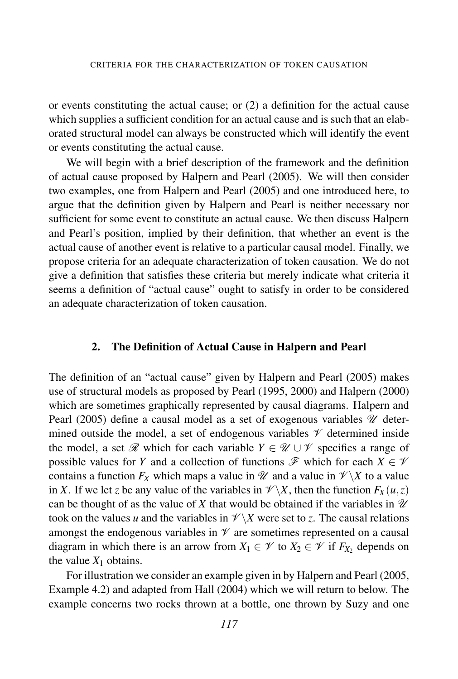or events constituting the actual cause; or (2) a definition for the actual cause which supplies a sufficient condition for an actual cause and is such that an elaborated structural model can always be constructed which will identify the event or events constituting the actual cause.

We will begin with a brief description of the framework and the definition of actual cause proposed by Halpern and Pearl (2005). We will then consider two examples, one from Halpern and Pearl (2005) and one introduced here, to argue that the definition given by Halpern and Pearl is neither necessary nor sufficient for some event to constitute an actual cause. We then discuss Halpern and Pearl's position, implied by their definition, that whether an event is the actual cause of another event is relative to a particular causal model. Finally, we propose criteria for an adequate characterization of token causation. We do not give a definition that satisfies these criteria but merely indicate what criteria it seems a definition of "actual cause" ought to satisfy in order to be considered an adequate characterization of token causation.

### 2. The Definition of Actual Cause in Halpern and Pearl

The definition of an "actual cause" given by Halpern and Pearl (2005) makes use of structural models as proposed by Pearl (1995, 2000) and Halpern (2000) which are sometimes graphically represented by causal diagrams. Halpern and Pearl (2005) define a causal model as a set of exogenous variables  $\mathcal U$  determined outside the model, a set of endogenous variables  $\mathcal V$  determined inside the model, a set  $\mathscr R$  which for each variable  $Y \in \mathscr U \cup \mathscr V$  specifies a range of possible values for *Y* and a collection of functions  $\mathscr F$  which for each  $X \in \mathscr V$ contains a function  $F_X$  which maps a value in  $\mathcal{U}$  and a value in  $\mathcal{V}\backslash X$  to a value in *X*. If we let *z* be any value of the variables in  $\mathcal{V}\backslash X$ , then the function  $F_X(u,z)$ can be thought of as the value of X that would be obtained if the variables in  $\mathcal U$ took on the values *u* and the variables in  $\mathcal{V}\backslash X$  were set to *z*. The causal relations amongst the endogenous variables in  $\mathcal V$  are sometimes represented on a causal diagram in which there is an arrow from  $X_1 \in \mathcal{V}$  to  $X_2 \in \mathcal{V}$  if  $F_{X_2}$  depends on the value  $X_1$  obtains.

For illustration we consider an example given in by Halpern and Pearl (2005, Example 4.2) and adapted from Hall (2004) which we will return to below. The example concerns two rocks thrown at a bottle, one thrown by Suzy and one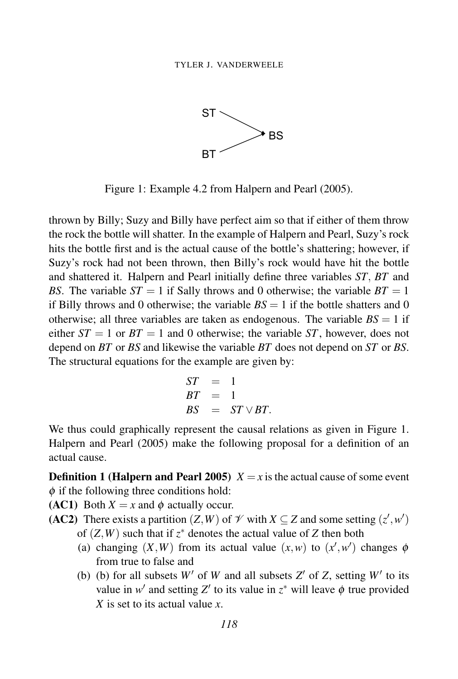

Figure 1: Example 4.2 from Halpern and Pearl (2005).

thrown by Billy; Suzy and Billy have perfect aim so that if either of them throw the rock the bottle will shatter. In the example of Halpern and Pearl, Suzy's rock hits the bottle first and is the actual cause of the bottle's shattering; however, if Suzy's rock had not been thrown, then Billy's rock would have hit the bottle and shattered it. Halpern and Pearl initially define three variables *ST*, *BT* and *BS*. The variable  $ST = 1$  if Sally throws and 0 otherwise; the variable  $BT = 1$ if Billy throws and 0 otherwise; the variable  $BS = 1$  if the bottle shatters and 0 otherwise; all three variables are taken as endogenous. The variable  $BS = 1$  if either  $ST = 1$  or  $BT = 1$  and 0 otherwise; the variable ST, however, does not depend on *BT* or *BS* and likewise the variable *BT* does not depend on *ST* or *BS*. The structural equations for the example are given by:

$$
ST = 1BT = 1BS = ST \vee BT.
$$

We thus could graphically represent the causal relations as given in Figure 1. Halpern and Pearl (2005) make the following proposal for a definition of an actual cause.

**Definition 1 (Halpern and Pearl 2005)**  $X = x$  is the actual cause of some event  $\phi$  if the following three conditions hold:

(AC1) Both  $X = x$  and  $\phi$  actually occur.

- (AC2) There exists a partition  $(Z, W)$  of  $\mathcal V$  with  $X \subseteq Z$  and some setting  $(z', w')$ of  $(Z, W)$  such that if  $z^*$  denotes the actual value of  $Z$  then both
	- (a) changing  $(X, W)$  from its actual value  $(x, w)$  to  $(x', w')$  changes  $\phi$ from true to false and
	- (b) (b) for all subsets  $W'$  of  $W$  and all subsets  $Z'$  of  $Z$ , setting  $W'$  to its value in  $w'$  and setting  $Z'$  to its value in  $z^*$  will leave  $\phi$  true provided *X* is set to its actual value *x*.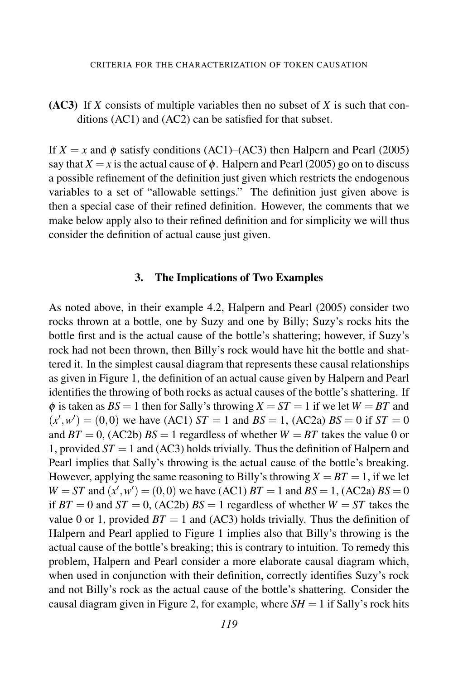## (AC3) If *X* consists of multiple variables then no subset of *X* is such that conditions (AC1) and (AC2) can be satisfied for that subset.

If  $X = x$  and  $\phi$  satisfy conditions (AC1)–(AC3) then Halpern and Pearl (2005) say that  $X = x$  is the actual cause of  $\phi$ . Halpern and Pearl (2005) go on to discuss a possible refinement of the definition just given which restricts the endogenous variables to a set of "allowable settings." The definition just given above is then a special case of their refined definition. However, the comments that we make below apply also to their refined definition and for simplicity we will thus consider the definition of actual cause just given.

#### 3. The Implications of Two Examples

As noted above, in their example 4.2, Halpern and Pearl (2005) consider two rocks thrown at a bottle, one by Suzy and one by Billy; Suzy's rocks hits the bottle first and is the actual cause of the bottle's shattering; however, if Suzy's rock had not been thrown, then Billy's rock would have hit the bottle and shattered it. In the simplest causal diagram that represents these causal relationships as given in Figure 1, the definition of an actual cause given by Halpern and Pearl identifies the throwing of both rocks as actual causes of the bottle's shattering. If  $\phi$  is taken as  $BS = 1$  then for Sally's throwing  $X = ST = 1$  if we let  $W = BT$  and  $(x', w') = (0, 0)$  we have (AC1) *ST* = 1 and *BS* = 1, (AC2a) *BS* = 0 if *ST* = 0 and  $BT = 0$ , (AC2b)  $BS = 1$  regardless of whether  $W = BT$  takes the value 0 or 1, provided  $ST = 1$  and (AC3) holds trivially. Thus the definition of Halpern and Pearl implies that Sally's throwing is the actual cause of the bottle's breaking. However, applying the same reasoning to Billy's throwing  $X = BT = 1$ , if we let  $W = ST$  and  $(x', w') = (0, 0)$  we have (AC1)  $BT = 1$  and  $BS = 1$ , (AC2a)  $BS = 0$ if  $BT = 0$  and  $ST = 0$ , (AC2b)  $BS = 1$  regardless of whether  $W = ST$  takes the value 0 or 1, provided  $BT = 1$  and (AC3) holds trivially. Thus the definition of Halpern and Pearl applied to Figure 1 implies also that Billy's throwing is the actual cause of the bottle's breaking; this is contrary to intuition. To remedy this problem, Halpern and Pearl consider a more elaborate causal diagram which, when used in conjunction with their definition, correctly identifies Suzy's rock and not Billy's rock as the actual cause of the bottle's shattering. Consider the causal diagram given in Figure 2, for example, where  $SH = 1$  if Sally's rock hits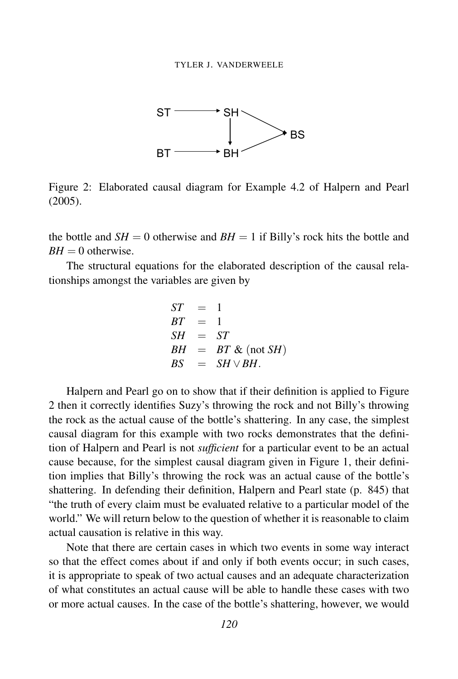

Figure 2: Elaborated causal diagram for Example 4.2 of Halpern and Pearl (2005). (2005).

the bottle and  $SH = 0$  otherwise and  $BH = 1$  if Billy's rock hits the bottle and  $BH = 0$  otherwise.

The structural equations for the elaborated description of the causal relationships amongst the variables are given by

$$
ST = 1
$$
  
\n
$$
BT = 1
$$
  
\n
$$
SH = ST
$$
  
\n
$$
BH = BT & (not SH)
$$
  
\n
$$
BS = SH \vee BH.
$$

Halpern and Pearl go on to show that if their definition is applied to Figure 2 then it correctly identifies Suzy's throwing the rock and not Billy's throwing the rock as the actual cause of the bottle's shattering. In any case, the simplest causal diagram for this example with two rocks demonstrates that the definition of Halpern and Pearl is not *sufficient* for a particular event to be an actual cause because, for the simplest causal diagram given in Figure 1, their definition implies that Billy's throwing the rock was an actual cause of the bottle's shattering. In defending their definition, Halpern and Pearl state (p. 845) that "the truth of every claim must be evaluated relative to a particular model of the world." We will return below to the question of whether it is reasonable to claim actual causation is relative in this way.

Note that there are certain cases in which two events in some way interact so that the effect comes about if and only if both events occur; in such cases, it is appropriate to speak of two actual causes and an adequate characterization of what constitutes an actual cause will be able to handle these cases with two or more actual causes. In the case of the bottle's shattering, however, we would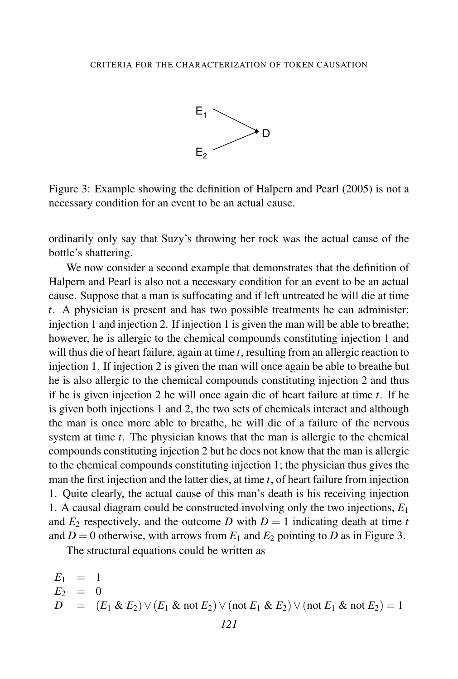

Figure 3: Example showing the definition of Halpern and Pearl (2005) is not a necessary condition for an event to be an actual cause.

ordinarily only say that Suzy's throwing her rock was the actual cause of the bottle's shattering.

We now consider a second example that demonstrates that the definition of Halpern and Pearl is also not a necessary condition for an event to be an actual cause. Suppose that a man is suffocating and if left untreated he will die at time *t*. A physician is present and has two possible treatments he can administer: injection 1 and injection 2. If injection 1 is given the man will be able to breathe; however, he is allergic to the chemical compounds constituting injection 1 and will thus die of heart failure, again at time *t*, resulting from an allergic reaction to injection 1. If injection 2 is given the man will once again be able to breathe but he is also allergic to the chemical compounds constituting injection 2 and thus if he is given injection 2 he will once again die of heart failure at time *t*. If he is given both injections 1 and 2, the two sets of chemicals interact and although the man is once more able to breathe, he will die of a failure of the nervous system at time *t*. The physician knows that the man is allergic to the chemical compounds constituting injection 2 but he does not know that the man is allergic to the chemical compounds constituting injection 1; the physician thus gives the man the first injection and the latter dies, at time *t*, of heart failure from injection 1. Quite clearly, the actual cause of this man's death is his receiving injection 1. A causal diagram could be constructed involving only the two injections, *E*<sup>1</sup> and  $E_2$  respectively, and the outcome *D* with  $D = 1$  indicating death at time *t* and  $D = 0$  otherwise, with arrows from  $E_1$  and  $E_2$  pointing to *D* as in Figure 3.

The structural equations could be written as

$$
E_1 = 1\nE_2 = 0\nD = (E_1 \& E_2) \vee (E_1 \& \text{not } E_2) \vee (\text{not } E_1 \& E_2) \vee (\text{not } E_1 \& \text{not } E_2) = 1
$$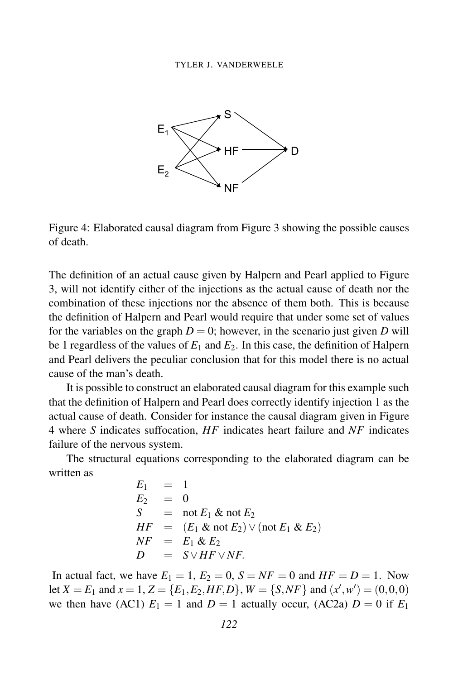

Figure 4: Elaborated causal diagram from Figure 3 showing the possible causes of death.

The definition of an actual cause given by Halpern and Pearl applied to Figure 3, will not identify either of the injections as the actual cause of death nor the combination of these injections nor the absence of them both. This is because the definition of Halpern and Pearl would require that under some set of values for the variables on the graph  $D = 0$ ; however, in the scenario just given *D* will be 1 regardless of the values of  $E_1$  and  $E_2$ . In this case, the definition of Halpern and Pearl delivers the peculiar conclusion that for this model there is no actual cause of the man's death.

It is possible to construct an elaborated causal diagram for this example such that the definition of Halpern and Pearl does correctly identify injection 1 as the actual cause of death. Consider for instance the causal diagram given in Figure 4 where *S* indicates suffocation, *HF* indicates heart failure and *NF* indicates failure of the nervous system.

The structural equations corresponding to the elaborated diagram can be written as

$$
E_1 = 1
$$
  
\n
$$
E_2 = 0
$$
  
\n
$$
S = \text{not } E_1 \& \text{not } E_2
$$
  
\n
$$
HF = (E_1 \& \text{not } E_2) \lor (\text{not } E_1 \& E_2)
$$
  
\n
$$
NF = E_1 \& E_2
$$
  
\n
$$
D = S \lor HF \lor NF.
$$

In actual fact, we have  $E_1 = 1$ ,  $E_2 = 0$ ,  $S = NF = 0$  and  $HF = D = 1$ . Now let *X* = *E*<sub>1</sub> and *x* = 1, *Z* = {*E*<sub>1</sub>, *E*<sub>2</sub>, *HF*, *D*}, *W* = {*S*, *NF*} and (*x*<sup>'</sup>, *w*<sup>'</sup>) = (0,0,0) we then have (AC1)  $E_1 = 1$  and  $D = 1$  actually occur, (AC2a)  $D = 0$  if  $E_1$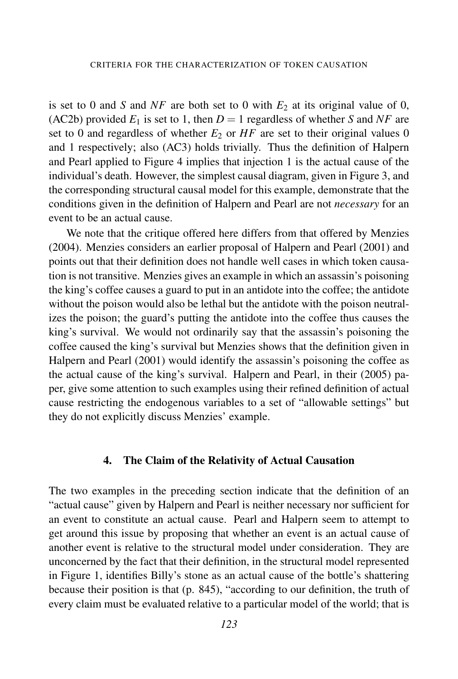is set to 0 and *S* and *NF* are both set to 0 with  $E_2$  at its original value of 0, (AC2b) provided  $E_1$  is set to 1, then  $D = 1$  regardless of whether *S* and *NF* are set to 0 and regardless of whether  $E_2$  or  $HF$  are set to their original values 0 and 1 respectively; also (AC3) holds trivially. Thus the definition of Halpern and Pearl applied to Figure 4 implies that injection 1 is the actual cause of the individual's death. However, the simplest causal diagram, given in Figure 3, and the corresponding structural causal model for this example, demonstrate that the conditions given in the definition of Halpern and Pearl are not *necessary* for an event to be an actual cause.

We note that the critique offered here differs from that offered by Menzies (2004). Menzies considers an earlier proposal of Halpern and Pearl (2001) and points out that their definition does not handle well cases in which token causation is not transitive. Menzies gives an example in which an assassin's poisoning the king's coffee causes a guard to put in an antidote into the coffee; the antidote without the poison would also be lethal but the antidote with the poison neutralizes the poison; the guard's putting the antidote into the coffee thus causes the king's survival. We would not ordinarily say that the assassin's poisoning the coffee caused the king's survival but Menzies shows that the definition given in Halpern and Pearl (2001) would identify the assassin's poisoning the coffee as the actual cause of the king's survival. Halpern and Pearl, in their (2005) paper, give some attention to such examples using their refined definition of actual cause restricting the endogenous variables to a set of "allowable settings" but they do not explicitly discuss Menzies' example.

#### 4. The Claim of the Relativity of Actual Causation

The two examples in the preceding section indicate that the definition of an "actual cause" given by Halpern and Pearl is neither necessary nor sufficient for an event to constitute an actual cause. Pearl and Halpern seem to attempt to get around this issue by proposing that whether an event is an actual cause of another event is relative to the structural model under consideration. They are unconcerned by the fact that their definition, in the structural model represented in Figure 1, identifies Billy's stone as an actual cause of the bottle's shattering because their position is that (p. 845), "according to our definition, the truth of every claim must be evaluated relative to a particular model of the world; that is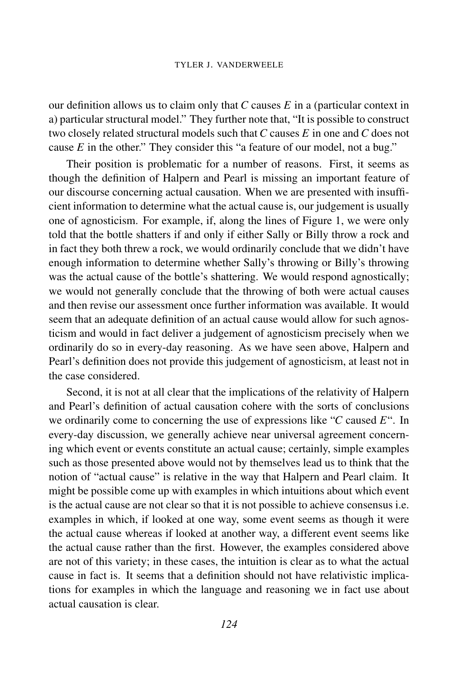#### TYLER J. VANDERWEELE

our definition allows us to claim only that *C* causes *E* in a (particular context in a) particular structural model." They further note that, "It is possible to construct two closely related structural models such that *C* causes *E* in one and *C* does not cause *E* in the other." They consider this "a feature of our model, not a bug."

Their position is problematic for a number of reasons. First, it seems as though the definition of Halpern and Pearl is missing an important feature of our discourse concerning actual causation. When we are presented with insufficient information to determine what the actual cause is, our judgement is usually one of agnosticism. For example, if, along the lines of Figure 1, we were only told that the bottle shatters if and only if either Sally or Billy throw a rock and in fact they both threw a rock, we would ordinarily conclude that we didn't have enough information to determine whether Sally's throwing or Billy's throwing was the actual cause of the bottle's shattering. We would respond agnostically; we would not generally conclude that the throwing of both were actual causes and then revise our assessment once further information was available. It would seem that an adequate definition of an actual cause would allow for such agnosticism and would in fact deliver a judgement of agnosticism precisely when we ordinarily do so in every-day reasoning. As we have seen above, Halpern and Pearl's definition does not provide this judgement of agnosticism, at least not in the case considered.

Second, it is not at all clear that the implications of the relativity of Halpern and Pearl's definition of actual causation cohere with the sorts of conclusions we ordinarily come to concerning the use of expressions like "*C* caused *E*". In every-day discussion, we generally achieve near universal agreement concerning which event or events constitute an actual cause; certainly, simple examples such as those presented above would not by themselves lead us to think that the notion of "actual cause" is relative in the way that Halpern and Pearl claim. It might be possible come up with examples in which intuitions about which event is the actual cause are not clear so that it is not possible to achieve consensus i.e. examples in which, if looked at one way, some event seems as though it were the actual cause whereas if looked at another way, a different event seems like the actual cause rather than the first. However, the examples considered above are not of this variety; in these cases, the intuition is clear as to what the actual cause in fact is. It seems that a definition should not have relativistic implications for examples in which the language and reasoning we in fact use about actual causation is clear.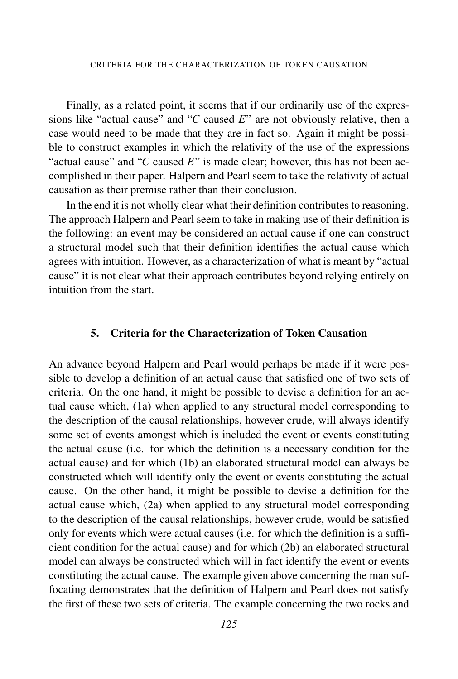Finally, as a related point, it seems that if our ordinarily use of the expressions like "actual cause" and "*C* caused *E*" are not obviously relative, then a case would need to be made that they are in fact so. Again it might be possible to construct examples in which the relativity of the use of the expressions "actual cause" and "*C* caused *E*" is made clear; however, this has not been accomplished in their paper. Halpern and Pearl seem to take the relativity of actual causation as their premise rather than their conclusion.

In the end it is not wholly clear what their definition contributes to reasoning. The approach Halpern and Pearl seem to take in making use of their definition is the following: an event may be considered an actual cause if one can construct a structural model such that their definition identifies the actual cause which agrees with intuition. However, as a characterization of what is meant by "actual cause" it is not clear what their approach contributes beyond relying entirely on intuition from the start.

#### 5. Criteria for the Characterization of Token Causation

An advance beyond Halpern and Pearl would perhaps be made if it were possible to develop a definition of an actual cause that satisfied one of two sets of criteria. On the one hand, it might be possible to devise a definition for an actual cause which, (1a) when applied to any structural model corresponding to the description of the causal relationships, however crude, will always identify some set of events amongst which is included the event or events constituting the actual cause (i.e. for which the definition is a necessary condition for the actual cause) and for which (1b) an elaborated structural model can always be constructed which will identify only the event or events constituting the actual cause. On the other hand, it might be possible to devise a definition for the actual cause which, (2a) when applied to any structural model corresponding to the description of the causal relationships, however crude, would be satisfied only for events which were actual causes (i.e. for which the definition is a sufficient condition for the actual cause) and for which (2b) an elaborated structural model can always be constructed which will in fact identify the event or events constituting the actual cause. The example given above concerning the man suffocating demonstrates that the definition of Halpern and Pearl does not satisfy the first of these two sets of criteria. The example concerning the two rocks and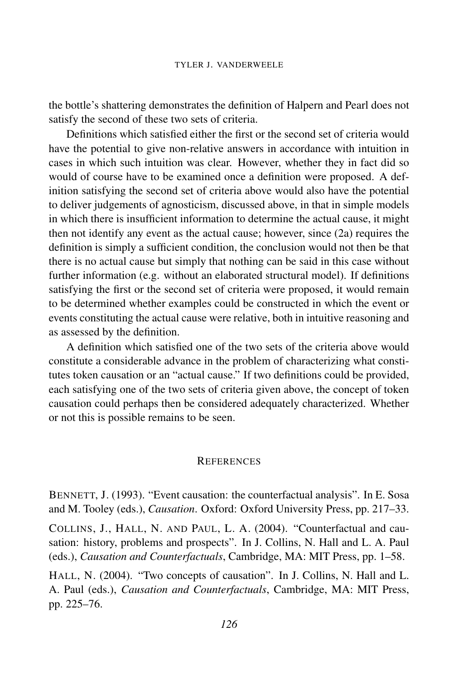the bottle's shattering demonstrates the definition of Halpern and Pearl does not satisfy the second of these two sets of criteria.

Definitions which satisfied either the first or the second set of criteria would have the potential to give non-relative answers in accordance with intuition in cases in which such intuition was clear. However, whether they in fact did so would of course have to be examined once a definition were proposed. A definition satisfying the second set of criteria above would also have the potential to deliver judgements of agnosticism, discussed above, in that in simple models in which there is insufficient information to determine the actual cause, it might then not identify any event as the actual cause; however, since (2a) requires the definition is simply a sufficient condition, the conclusion would not then be that there is no actual cause but simply that nothing can be said in this case without further information (e.g. without an elaborated structural model). If definitions satisfying the first or the second set of criteria were proposed, it would remain to be determined whether examples could be constructed in which the event or events constituting the actual cause were relative, both in intuitive reasoning and as assessed by the definition.

A definition which satisfied one of the two sets of the criteria above would constitute a considerable advance in the problem of characterizing what constitutes token causation or an "actual cause." If two definitions could be provided, each satisfying one of the two sets of criteria given above, the concept of token causation could perhaps then be considered adequately characterized. Whether or not this is possible remains to be seen.

#### **REFERENCES**

BENNETT, J. (1993). "Event causation: the counterfactual analysis". In E. Sosa and M. Tooley (eds.), *Causation*. Oxford: Oxford University Press, pp. 217–33.

COLLINS, J., HALL, N. AND PAUL, L. A. (2004). "Counterfactual and causation: history, problems and prospects". In J. Collins, N. Hall and L. A. Paul (eds.), *Causation and Counterfactuals*, Cambridge, MA: MIT Press, pp. 1–58.

HALL, N. (2004). "Two concepts of causation". In J. Collins, N. Hall and L. A. Paul (eds.), *Causation and Counterfactuals*, Cambridge, MA: MIT Press, pp. 225–76.